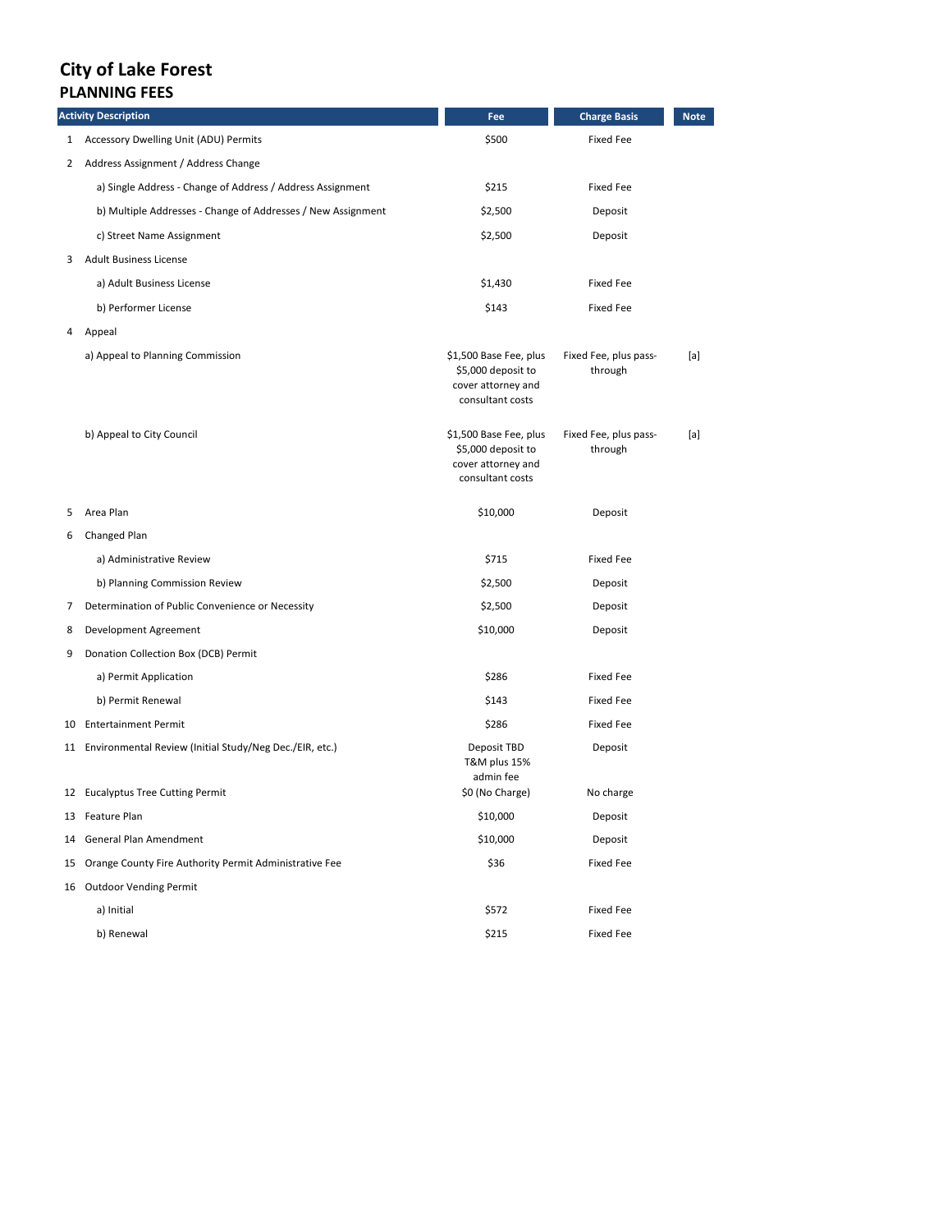## **City of Lake Forest PLANNING FEES**

| <b>Activity Description</b> |                                                              | Fee                                                                                    | <b>Charge Basis</b>              | <b>Note</b> |
|-----------------------------|--------------------------------------------------------------|----------------------------------------------------------------------------------------|----------------------------------|-------------|
|                             | 1 Accessory Dwelling Unit (ADU) Permits                      | \$500                                                                                  | <b>Fixed Fee</b>                 |             |
|                             | 2 Address Assignment / Address Change                        |                                                                                        |                                  |             |
|                             | a) Single Address - Change of Address / Address Assignment   | \$215                                                                                  | <b>Fixed Fee</b>                 |             |
|                             | b) Multiple Addresses - Change of Addresses / New Assignment | \$2,500                                                                                | Deposit                          |             |
|                             | c) Street Name Assignment                                    | \$2,500                                                                                | Deposit                          |             |
| 3                           | <b>Adult Business License</b>                                |                                                                                        |                                  |             |
|                             | a) Adult Business License                                    | \$1,430                                                                                | <b>Fixed Fee</b>                 |             |
|                             | b) Performer License                                         | \$143                                                                                  | <b>Fixed Fee</b>                 |             |
| 4                           | Appeal                                                       |                                                                                        |                                  |             |
|                             | a) Appeal to Planning Commission                             | \$1,500 Base Fee, plus<br>\$5,000 deposit to<br>cover attorney and<br>consultant costs | Fixed Fee, plus pass-<br>through | [a]         |
|                             | b) Appeal to City Council                                    | \$1,500 Base Fee, plus<br>\$5,000 deposit to<br>cover attorney and<br>consultant costs | Fixed Fee, plus pass-<br>through | [a]         |
| 5                           | Area Plan                                                    | \$10,000                                                                               | Deposit                          |             |
| 6                           | Changed Plan                                                 |                                                                                        |                                  |             |
|                             | a) Administrative Review                                     | \$715                                                                                  | <b>Fixed Fee</b>                 |             |
|                             | b) Planning Commission Review                                | \$2,500                                                                                | Deposit                          |             |
| 7                           | Determination of Public Convenience or Necessity             | \$2,500                                                                                | Deposit                          |             |
| 8                           | Development Agreement                                        | \$10,000                                                                               | Deposit                          |             |
| 9                           | Donation Collection Box (DCB) Permit                         |                                                                                        |                                  |             |
|                             | a) Permit Application                                        | \$286                                                                                  | <b>Fixed Fee</b>                 |             |
|                             | b) Permit Renewal                                            | \$143                                                                                  | <b>Fixed Fee</b>                 |             |
|                             | 10 Entertainment Permit                                      | \$286                                                                                  | <b>Fixed Fee</b>                 |             |
|                             | 11 Environmental Review (Initial Study/Neg Dec./EIR, etc.)   | Deposit TBD<br>T&M plus 15%<br>admin fee                                               | Deposit                          |             |
|                             | 12 Eucalyptus Tree Cutting Permit                            | \$0 (No Charge)                                                                        | No charge                        |             |
|                             | 13 Feature Plan                                              | \$10,000                                                                               | Deposit                          |             |
| 14                          | General Plan Amendment                                       | \$10,000                                                                               | Deposit                          |             |
| 15                          | Orange County Fire Authority Permit Administrative Fee       | \$36                                                                                   | <b>Fixed Fee</b>                 |             |
| 16                          | <b>Outdoor Vending Permit</b>                                |                                                                                        |                                  |             |
|                             | a) Initial                                                   | \$572                                                                                  | <b>Fixed Fee</b>                 |             |
|                             | b) Renewal                                                   | \$215                                                                                  | <b>Fixed Fee</b>                 |             |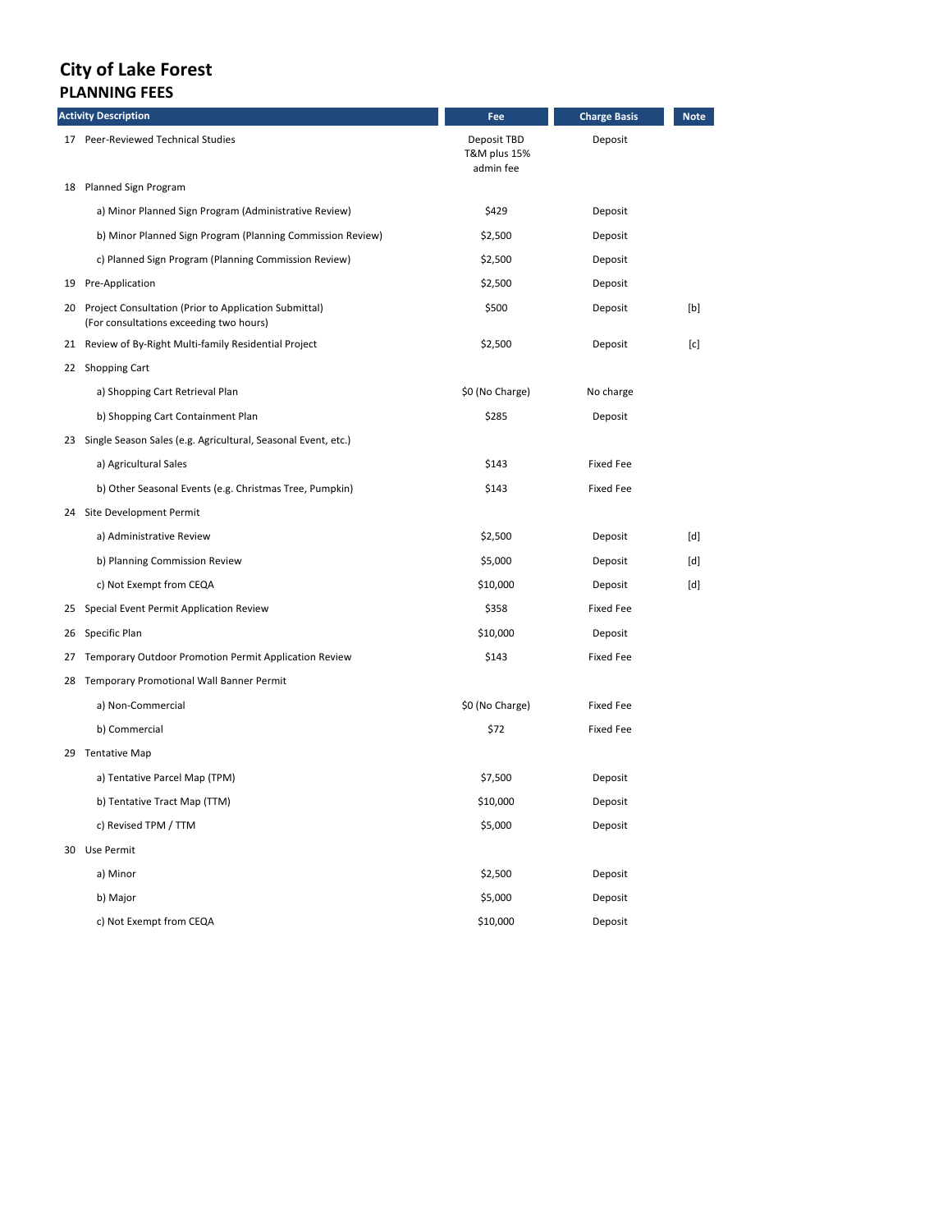## **City of Lake Forest PLANNING FEES**

|    | <b>Activity Description</b>                                                                         | Fee                                      | <b>Charge Basis</b> | <b>Note</b> |
|----|-----------------------------------------------------------------------------------------------------|------------------------------------------|---------------------|-------------|
|    | 17 Peer-Reviewed Technical Studies                                                                  | Deposit TBD<br>T&M plus 15%<br>admin fee | Deposit             |             |
|    | 18 Planned Sign Program                                                                             |                                          |                     |             |
|    | a) Minor Planned Sign Program (Administrative Review)                                               | \$429                                    | Deposit             |             |
|    | b) Minor Planned Sign Program (Planning Commission Review)                                          | \$2,500                                  | Deposit             |             |
|    | c) Planned Sign Program (Planning Commission Review)                                                | \$2,500                                  | Deposit             |             |
|    | 19 Pre-Application                                                                                  | \$2,500                                  | Deposit             |             |
|    | 20 Project Consultation (Prior to Application Submittal)<br>(For consultations exceeding two hours) | \$500                                    | Deposit             | [b]         |
|    | 21 Review of By-Right Multi-family Residential Project                                              | \$2,500                                  | Deposit             | [c]         |
|    | 22 Shopping Cart                                                                                    |                                          |                     |             |
|    | a) Shopping Cart Retrieval Plan                                                                     | \$0 (No Charge)                          | No charge           |             |
|    | b) Shopping Cart Containment Plan                                                                   | \$285                                    | Deposit             |             |
|    | 23 Single Season Sales (e.g. Agricultural, Seasonal Event, etc.)                                    |                                          |                     |             |
|    | a) Agricultural Sales                                                                               | \$143                                    | <b>Fixed Fee</b>    |             |
|    | b) Other Seasonal Events (e.g. Christmas Tree, Pumpkin)                                             | \$143                                    | <b>Fixed Fee</b>    |             |
|    | 24 Site Development Permit                                                                          |                                          |                     |             |
|    | a) Administrative Review                                                                            | \$2,500                                  | Deposit             | [d]         |
|    | b) Planning Commission Review                                                                       | \$5,000                                  | Deposit             | [d]         |
|    | c) Not Exempt from CEQA                                                                             | \$10,000                                 | Deposit             | [d]         |
| 25 | Special Event Permit Application Review                                                             | \$358                                    | <b>Fixed Fee</b>    |             |
| 26 | Specific Plan                                                                                       | \$10,000                                 | Deposit             |             |
| 27 | Temporary Outdoor Promotion Permit Application Review                                               | \$143                                    | <b>Fixed Fee</b>    |             |
|    | 28 Temporary Promotional Wall Banner Permit                                                         |                                          |                     |             |
|    | a) Non-Commercial                                                                                   | \$0 (No Charge)                          | Fixed Fee           |             |
|    | b) Commercial                                                                                       | \$72                                     | <b>Fixed Fee</b>    |             |
|    | 29 Tentative Map                                                                                    |                                          |                     |             |
|    | a) Tentative Parcel Map (TPM)                                                                       | \$7,500                                  | Deposit             |             |
|    | b) Tentative Tract Map (TTM)                                                                        | \$10,000                                 | Deposit             |             |
|    | c) Revised TPM / TTM                                                                                | \$5,000                                  | Deposit             |             |
|    | 30 Use Permit                                                                                       |                                          |                     |             |
|    | a) Minor                                                                                            | \$2,500                                  | Deposit             |             |
|    | b) Major                                                                                            | \$5,000                                  | Deposit             |             |
|    | c) Not Exempt from CEQA                                                                             | \$10,000                                 | Deposit             |             |